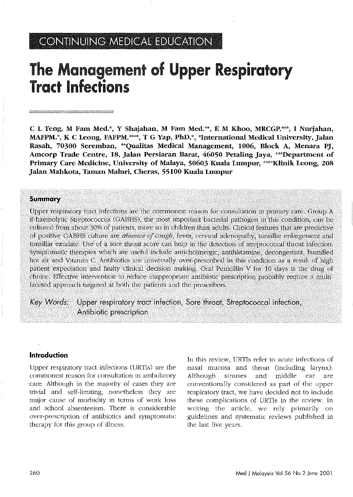# CONTINUING MEDICAL EDUCATION

# The Management of Upper Respiratory Tract Infections

C L Teng, M Fatn Med.', Y Shajahan, M Fatn Med.", E M Khoo, MRCGP.\*", I Nurjahan, MAFPM.<sup>\*</sup>, K C Leong, FAFPM.<sup>\*\*\*\*</sup>, T G Yap, PhD.<sup>\*</sup>, <sup>\*</sup>International Medical University, Jalan Rasah, 70300 Seremban, \*\*Qualitas Medical Management, 1006, Block A, Menara PJ, Amcorp Trade Centre, 18, Jalan Persiaran Barat, 46050 Petaling Jaya, "'Department of Primary Care Medicine, University of Malaya, 50603 Kuala Lumpur, \*\*\*\*Klinik Leong, 208 Jalan Mahkota, Taman Maluri, Cheras, 55100 Kuala Lumpur

#### **Summary**

Upper respiratory tract infections are the commonest reason for consultation in primary care. Group A ('s-haemolytic Streptococcus (GABHS), the most important bacterial pathogen in this condition, can be cultured from about 30% of patients, more so in children than adults. Clinical fea of positive GABHS culture are *absence* of cough, fever, cervical adenopathy, tonsillar enlargement and tonsillar exudate. Use of a sore throat score can help in the detection of streptococcal throat infection. Symptomatic therapies which are useful include anticholinergic, antihistamine, decongestant, humified hot air and Vitamin C. Antibiotics are universally over-prescribed in this condition as a result of high patient expectation and faulty clinical decision making. Oral Penicillin V for 10 days is the drug of choice. Effective intervention to reduce inappropriate antibiotic prescription probably require a multifaceted approach targeted at both the patients and the prescribers.

*Key Words:* Upper respiratory tract infection, Sore throat, Streptococcal infection, Antibiotic prescription

## Introduction

Upper respiratory tract infections CURTIs) are the commonest reason for consultation in ambulatory care. Although in the majority of cases they are trivial and self-limiting) nonetheless they are major cause of morbidity in terms of work loss and school absenteeism. There is considerable over-prescription of antibiotics and symptomatic therapy for this group of illness.

In this review, URTls refer to acute infections of nasal mucosa and throat (including larynx). Although sinuses and middle ear are conventionally considered as part of the upper respiratory tract, we have decided not to include these complications of URTIs in the review. In writing the article, we rely primarily on guidelines and systematic reviews published in the last five years.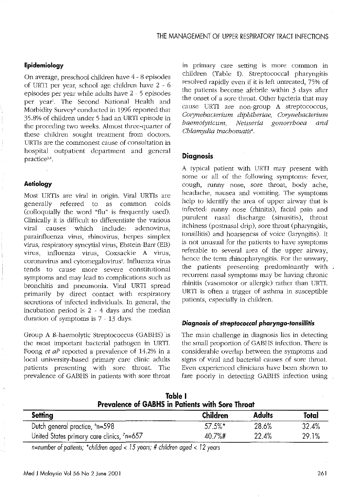# Epidemiology

On average, preschool children have 4 - 8 episodes of URTI per year, school age children have 2 - 6 episodes per year while adults have 2 - 5 episodes per year'. The Second National Health and Morbidity Survey<sup>2</sup> conducted in 1996 reported that 35.8% of children under 5 had an URTI episode in the preceding two weeks. Almost three-quarter of these children sought treatment from doctors. URTIs are the commonest cause of consultation in hospital outpatient department and general practice<sup>3,4</sup>.

### **Aetiology**

Most URTIs are viral in origin. Viral URTIs are generally referred to as common colds (colloquially the word "flu" is frequently used). Clinically it is difficult to differentiate the various viral causes which include: adenovirus, parainfluenza virus, rhinovirus, herpes simplex virus, respiratory syncytial virus, Ebstein-Barr (EB) virus, influenza virus, Coxsackie A virus, coronavirus and cytomegalovirus!. Influenza virus tends to cause more severe constitutional symptoms and may lead to complications such as bronchitis and pneumonia. Viral URTI spread primarily by direct contact with respiratory secretions of infected individuals. In general, the incubation period is 2 - 4 days and the median duration of symptoms is 7 - I3 days.

Group A B-haemolytic Streptococcus (GABBS) is the most important bacterial pathogen in URTI. Foong *et al*<sup>5</sup> reported a prevalence of 14.2% in a local university-based primary care clinic adults patients presenting with sore throat. The prevalence of GABHS in patients with sore throat in primary care setting is more common in children Cfable I). Streptococcal pharyngitis resolved rapidly even if it is left untreated, 75% of the patients become afebrile within 3 days after the onset of a sore throat. Other bacteria that may cause URTI are non-group A streptococcus,  $Corynebacterium dipbtheriae, Corynebacterium$ *baemolyticum, Neisseria gonorrhoea and Chlamydia trachomatis*<sup>1</sup> •

# **Diagnosis**

A typical patient with URTI may present with some or all of the following symptoms: fever, cough, runny nose, sore throat, body ache, headache, nausea and vomiting. The symptoms help to identify the area of upper airway that is infected: runny nose (rhinitis), facial pain and purulent nasal discharge (sinusitis), throat itchiness (postnasal drip), sore throat (pharyngitis, tonsillitis) and hoarseness of voice (laryngitis). It is not unusual for the patients to have symptoms referable to several area of the upper airway, hence the term rhinopharyngitis. For the unwary, the patients presenting predominantly with. recurrent nasal symptoms may be having chronic rhinitis (vasomotor or allergic) rather than URTI. URTI is often a trigger of asthma in susceptible patients, especially in children.

#### *Diagnosis* of *streptococcal pharyngo-tonsillitis*

The main challenge in diagnosis lies in detecting the small proportion of GABBS infection. There is considerable overlap between the symptoms and signs of viral and bacterial causes of sore throat. Even experienced clinicians have been shown to fare poorly in detecting GABHS infection using

| Table I<br>Prevalence of GABHS in Patients with Sore Throat |            |               |              |
|-------------------------------------------------------------|------------|---------------|--------------|
| Setting                                                     | Children   | <b>Adults</b> | <b>Total</b> |
| Dutch general practice, $6n=598$                            | $57.5\%$ * | 28.6%         | 32.4%        |
| United States primary care clinics, 7n=657                  | $40.7%$ #  | 22.4%         | 29.1%        |

*n=number of patients; ·children aged* < 15 *years;* # *children aged* < 12 *years*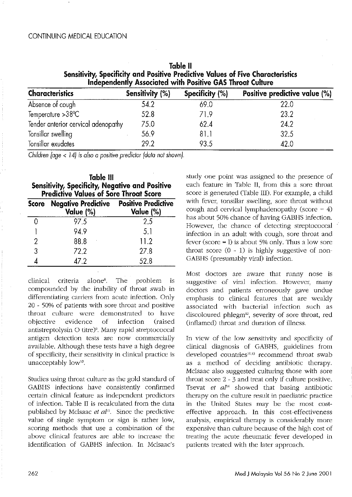# CONTINUING MEDICAL EDUCATION

| Independently Associated with Positive GAS Throat Culture |                 |                 |                               |
|-----------------------------------------------------------|-----------------|-----------------|-------------------------------|
| <b>Characteristics</b>                                    | Sensitivity (%) | Specificity (%) | Positive predictive value (%) |
| Absence of cough                                          | 54.2            | 69.0            | 22.0                          |
| Temperature > 38 °C                                       | 52.8            | 71.9            | 23.2                          |
| Tender anterior cervical adenopathy                       | 75.0            | 62.4            | 24.2                          |
| Tonsillar swelling                                        | 56.9            | 81.1            | 32.5                          |
| Tonsillar exudates                                        | 29.2            | 93.5            | 42.0                          |

Table II Sensitivity, Specificity and Positive Predictive Values of Five Characteristics Independently Associated with Positive GAS Throat Culture

*Children (age* < 14) is also a positive *predictor (data not shown).*

|       | Table III                                                                                               |                            |
|-------|---------------------------------------------------------------------------------------------------------|----------------------------|
|       | <b>Sensitivity, Specificity, Negative and Positive</b><br><b>Predictive Values of Sore Throat Score</b> |                            |
| Score | <b>Negative Predictive</b>                                                                              | <b>Positive Predictive</b> |
|       | Value (%)                                                                                               | Value (%)                  |

|   | Value (%) | Value (%) |
|---|-----------|-----------|
|   | 97.5      | 2.5       |
|   | 94.9      | 5.1       |
| 2 | 88.8      | 11.2      |
| 3 | 72.2      | 27.8      |
|   | 47.2      | 52.8      |

clinical criteria alone<sup>8</sup>. The problem is compounded by the inability of throat swab in differentiating carriers from acute infection. Only 20 - 50% of patients with sore throat and positive throat culture were demonstrated to have objective evidence of infection (raised antistreptolysin 0 titre)9, Many rapid streptococcal antigen detection tests are now commercially available. Although these tests have a high degree of specificity, their sensitivity in clinical practice is unacceptably low<sup>10</sup>.

Studies using throat culture as the gold standard of GABHS infections have consistently confirmed certain clinical feature as independent predictors of infection. Table II is recalculated from the data published by Mclsaac et al<sup>11</sup>. Since the predictive value of single symptom or sign is rather low, scoring methods that use a combination of the above clinical features are able to increase the identification of GABHS infection. In Mcisaac's

study one point was assigned to the presence of each feature in Table II, from this a sore throat score is generated (Table III). For example, a child with fever, tonsillar swelling, sore throat without cough and cervical lymphadenopathy (score  $= 4$ ) has about 50% chance of having GABHS infection. However, the chance of detecting streptococcal infection in an adult with cough, sore throat and fever (score  $=$  l) is about 5% only. Thus a low sore throat score  $(0 - 1)$  is highly suggestive of non-GABHS (presumably viral) infection.

Most doctors are aware that runny nose is suggestive of viral infection. However, many doctors and patients erroneously gave undue emphasis to clinical features that are weakly associated with bacterial infection such as discoloured phlegm<sup>12</sup>, severity of sore throat, red (inflamed) throat and duration of illness.

In view of the low sensitivity and specificity of clinical diagnosis of GABHS, guidelines from developed countries<sup>10,13</sup> recommend throat swab as a method of deciding antibiotic therapy. McIsaac also suggested culturing those with sore throat score 2 - 3 and treat only if culture positive. Tsevat *et al14* showed that basing antibiotic therapy on the culture result in paediatric practice in the United States may be the most costeffective approach. In this cost-effectiveness analysis, empirical therapy is considerably more expensive than culture because of the high cost of treating the acute rheumatic fever developed in patients treated with the later approach.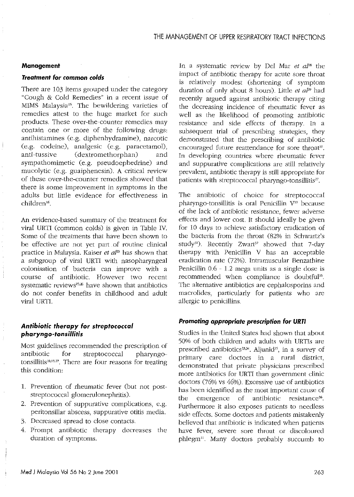#### **Management**

#### *Treatment far* common *colds*

There are 103 items grouped under the category "Cough & Cold Remedies" in a recent issue of MIMS Malaysia". The bewildering varieties of remedies attest to the huge market for such products. These over-the-counter remedies may contain one or more of the following drugs: antihistamines (e.g. diphenhydramine), narcotic (e.g. codeine), analgesic (e.g. paracetamol), anti-tussive (dextromethorphan) and sympathomimetic (e.g. pseudoephedrine) and mucolytic (e.g. guaiphenesin), A critical review of these over-the-counter remedies showed that there is some improvement in symptoms in the adults but little evidence for effectiveness in children<sup>16</sup>.

An evidence-based summary of the treatment for viral URTI (common coids) is given in Table *N.* Some of the treatments that have been shown to be effective are not yet part of routine clinical practice in Malaysia. Kaiser *et aPO* has shown that a subgroup of viral URTI with nasopharyngeal colonisation of bacteria can improve with a course of antibiotic. However two recent systematic reviews<sup>25,26</sup> have shown that antibiotics do not confer benefits in childhood and adult viral URTI.

# *Antibiotic therapy for streptococcal pharyngo·tonsillitis*

Most guidelines recommended the prescription of antibiotic for streptococcal pharyngotonsillitis<sup>10,13,27</sup>. There are four reasons for treating this condition:

- 1. Prevention of rheumatic fever (but not poststreptococcal glomerulonephritis).
- 2. Prevention of suppurative complications, e.g. peritonsillar abscess, suppurative otitis media.
- 3. Decreased spread to close contacts.
- 4. Prompt antibiotic therapy decreases the duration of symptoms.

In a systematic review by Del Mar et al<sup>28</sup> the impact of antibiotic therapy for acute sore throat is relatively modest (shortening of symptom duration of only about 8 hours). Little *et al"* had recently argued against antibiotic therapy citing the decreasing incidence of rheumatic fever as well as the likelihood of promoting antibiotic resistance and side effects of therapy. In a subsequent trial of prescribing strategies, they demonstrated that the prescribing of antibiotic encouraged future reattendance for sore throat<sup>30</sup>. In developing countries where rheumatic fever and suppurative complications are still relatively prevalent, antibiotic therapy is still appropriate for patients with streptococcal pharyngo-tonsillitis $^{27}$ .

The antibiotic of choice for streptococcal pharyngo-tonsillitis is oral Penicillin V<sup>10</sup> because of the lack of antibiotic resistance, fewer adverse effects and lower cost. It should ideally be given for 10 days to achieve satisfactory eradication of the bacteria from the throat (82% in Schwartz's study<sup>31</sup>). Recently Zwart<sup>32</sup> showed that 7-day therapy with Penicillin V has an acceptable eradication rate (72%). Intramuscular Benzathine Penicillin 0.6 - 1.2 mega units as a single dose is recommended when compliance is doubtful<sup>10</sup>. The alternative antibiotics are cephalosporins and macrolides, particularly for patients who are allergic to penicillins.

#### *Promoting appropriate prescription for* **URTI**

Studies in the United States had shown that about 50% of both children and adults with URTls are prescribed antibiotics $33,34$ . Aljunid<sup>35</sup>, in a survey of primary care doctors in a rural district, demonstrated that private physicians prescribed more antibiotics for URTI than government clinic doctors (76% vs 46%). Excessive use of antibiotics has been identified as the most important cause of the emergence of antibiotic resistance<sup>36</sup>. Furthermore it also exposes patients to needless side effects. Some doctors and patients mistakenly believed that antibiotic is indicated when patients have fever, severe sore throat or discoloured phlegm<sup>11</sup>. Many doctors probably succumb to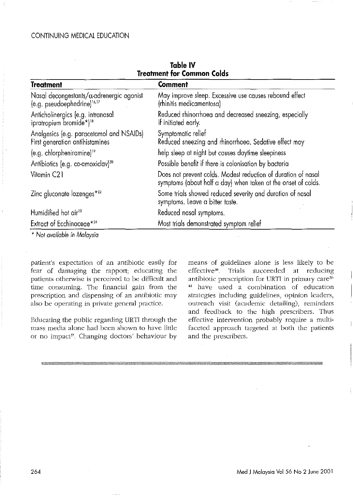| <b>Treatment</b>                                                                            | Comment                                                                                                                        |  |
|---------------------------------------------------------------------------------------------|--------------------------------------------------------------------------------------------------------------------------------|--|
| Nasal decongestants/ $\alpha$ adrenergic agonist<br>(e.g. pseudoephedrine) <sup>16,17</sup> | May improve sleep. Excessive use causes rebound effect<br>(rhinitis medicamentosa)                                             |  |
| Anticholinergics (e.g. intranasal<br>ipratropium bromide*) <sup>18</sup>                    | Reduced rhinorrhoea and decreased sneezing, especially<br>if initiated early.                                                  |  |
| Analgesics (e.g. paracetamol and NSAIDs)<br>First generation antihistamines                 | Symptomatic relief<br>Reduced sneezing and rhinorrhoea. Sedative effect may                                                    |  |
| (e.g. chlorpheniramine) <sup>19</sup>                                                       | help sleep at night but causes daytime sleepiness                                                                              |  |
| Antibiotics (e.g. co-amoxiclav) <sup>20</sup>                                               | Possible benefit if there is colonisation by bacteria                                                                          |  |
| Vitamin C21                                                                                 | Does not prevent colds. Modest reduction of duration of nasal<br>symptoms (about half a day) when taken at the onset of colds. |  |
| Zinc gluconate lozenges*22                                                                  | Some trials showed reduced severity and duration of nasal<br>symptoms. Leave a bitter taste.                                   |  |
| Humidified hot air <sup>23</sup>                                                            | Reduced nasal symptoms.                                                                                                        |  |
| Extract of Ecchinaceae*24                                                                   | Most trials demonstrated symptom relief                                                                                        |  |

**Table IV Treatment for Common Colds**

\* Nol *available* in *Malaysia*

**patient's expectation of an antibiotic easily for** fear of damaging the rapport; educating the **patients otherwise is perceived to be difficult and time consuming. The financial gain from the prescription and dispensing of an antibiotic may also be operating in private general practice.**

Educating the public regarding URTI through the **mass media alone had been shown to have little or no impact-n, Changing doctors' behaviour by**

means of guidelines alone is less likely to be **effective38 , Trials succeeded at reducing antibiotic prescription for URTI in primary care39- <sup>42</sup> have used a combination of education strategies including guidelines, opinion leaders, outreach visit (academic detailing), reminders** and feedback to the high prescribers. Thus **effective intervention probably require a multi**faceted approach targeted at both the patients and the prescribers.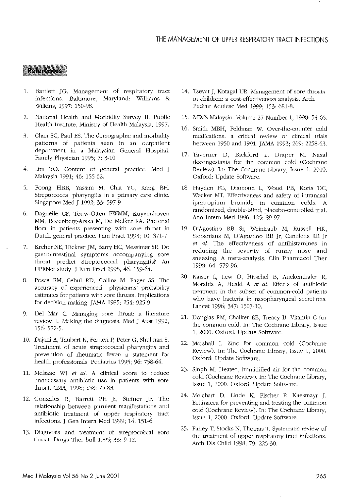## **References**

- 1. Bartlett JG. Management of respiratory tract infections. Baltimore, Maryland: Williams & Wilkins, 1997, 150-98.
- 2. National Health and Morbidity Survey II. Public Health Institute, Ministry of Health Malaysia, 1997.
- 3. Chan SC, Paul ES. The demographic and morbidity patterns of patients seen in an outpatient department in a Malaysian General Hospital. Family Physician 1995; 7: 3-10.
- 4. Lim TO. Content of general practice. Med J Malaysia 1991; 46: 155-62.
- 5. Foong HBB, Yassim M, Chia YC, Kang BH. Streptococcal pharyngitis in a primary care clinic. Singapore Med J 1992; 33: 597-9.
- 6. Dagnelie CF, Touw-Otten FWMM, Kuyvenhovcn MM, Rozenberg-Arska M, Dc Melker RA. Bacterial flora in patients presenting with sore throat in Dutch general practice. Fam Pract 1993; 10: 371-7.
- 7. Kreher NE, Rickner ]M, Bany HC, Messimer SR. Do gastrointestinal symptoms accompanying sore throat predict Streptococcal pharyngitis? An tJPRNet study. J Fam Pract i998, 46, 159-64.
- 8. Poses RM, Cebul RD, Collins M, Fager SS. The accuracy of experienced physicians' probability estimates for patients with sore throats. Implications for decision making. JAMA 1985; 254: 925-9.
- 9. Del Mar C. Managing sore throat: a literature review. I. Making the diagnosis. Med] Aust 1992; 156, 572-5.
- 10. Dajani A, Taubert K, Ferrieri P, Peter G, Shulman S. Treatment of acute streptococcal pharyngitis and prevention of rheumatic fever: a statement for health professionals. Pediatrics 1995; 96: 758-64.
- 11. Mclsaac WJ *et at.* A clinical score to reduce unnecessary antibiotic use in patients with sore throat. CMAJ 1998, 158, 75-83.
- 12. Gonzales R, Barrett PH Jr, Steiner JF. The relationship between purulent manifestations and antibiotic treatment of upper respiratory tract infections. J Gen Intern Med 1999; 14: 151-6.
- 13. Diagnosis and treatment of streptococcal sore throat. Drugs Ther bull 1995; 33: 9-12.
- 14. TsevatJ, Kotagal UR Management of sore throats in children: a cost-effectiveness analysis. Arch Pediatr Ado!esc Med 1999, 153, 681-8.
- 15. MIMS Malaysia. Volume 27 Number 1, 1998: 54-65.
- 16. Smith MBH, Feldman W. Over-the-counter cold medications: a critical review of clinical trials hetween 1950 and 1991. JAMA 1993, 269, 2258-63.
- 17. Taverner D, Bickford L, Draper M. Nasal decongestants for the common cold (Cochrane Review). In: The Cochrane Libraty, Issue 1, 2000. Oxford: Update Software.
- 18. Hayden FG, Diamond L, Wood PE, Korts DC, Wecker MT. Effectiveness and safety of intranasal ipratropium bromide in common colds. A randomized, double-blind, placebo-controlled trial. Ann Intern Med 1996, 125, 89-97.
- 19. D'Agostino RB Sr, Weintraub M, Russell HK, Stepanians M, D'Agostino RB Jr, Cantilena LR Jr *et at.* The effectiveness of antihistamines in reducing the severity of runny nose and sneeZing: A meta-analysis. Clin Pharmacol Ther 1998, 64, 579-96.
- *20.* Kaiser L, Lew D, Hirschel B, Auckenthaler R, Morabia A, Heald A *et* al. Effects of antibiotic treatment in the subset of common-cold patients who have bacteria in nasopharyngeal secretions. Lancet 1996, 347, 1507-10.
- 21. Douglas RM, Chalker EB, Treacy E. Vitamin C for the common cold. In: The Cochrane Library, Issue 1, 2000. Oxford: Update Software.
- 22. Marshall I. Zinc for common cold (Cochrane Review). In: The Cochrane Library, Issue 1, *2000.* Oxford: Update Software.
- 23. Singh M. Heated, humidified air for the common cold (Cochrane Review). In: The Cochrane Library, Issue 1, 2000. Oxford: Update Software.
- 24. Melchart D, Linde K, Fischer P, Kaesmayr J. Echinacea for preventing and treating the common cold (Cochrane Review). In: The Cochrane Library, Issue 1, 2000. Oxford: Update Software.
- 25. Fahey T, Stocks N, Thomas T. Systematic review of the treatment of upper respiratory tract infections. Arch Dis Child 1998, 79, 225-30.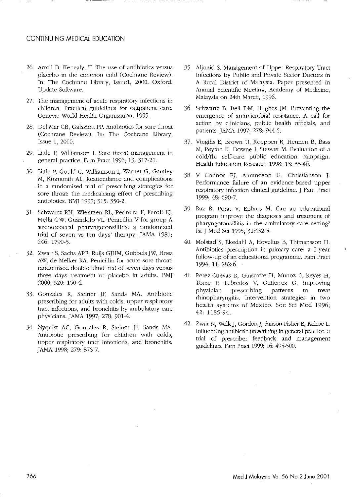#### CONTINUING MEDICAL EDUCATION

- 26. Arroll B, Kenealy, T. The use of antibiotics versus placebo in the common cold (Cocbrane Review), In: The Cochrane Library, Issue1, 2000. Oxford: Update Software.
- 27. The management of acute respiratory infections in children. Practical guidelines for outpatient care. Geneva: World Health Organisation, 1995.
- 28. Del Mar CB, Galsziou PP. Antibiotics for sore throat (Cochrane Review). In: The Cochrane Library, Issue 1, 2000.
- 29. Little P, \Villiamson 1. Sore throat management in general practice. Fam Pract 1996; 13: 317-21.
- 30. Little P, Gould C, Williamson I, Warner G, Gantley M, Kinmonth AL. Reattendance and complications in a randomised trial of prescribing strategies for sore throat: the medicalising effect of prescribing antibiotics. EM] 1997; 315; 350-2.
- 31. Schwartz RH, Wientzen RL, Pedreira F, Feroli EJ, Mella GW, Guandolo VL. Penicillin V for group A streptococcal pharyngotonsillitis: a randomized trial of seven vs ten days' therapy. JAMA 1981; 246; 1790-5.
- 32. Zwart S, Sachs APE, Ruijs GJHM, Gubbels JW, Hoes AW, de Melker RA. Penicillin for acute sore throat: randomised double blind trial of seven days versus three days treatment or placebo in adults.· BM] 2000; 320; 150-4.
- 33. Gonzales R, Steiner JF, Sands MA. Antibiotic prescribing for adults with colds, upper respiratory tract infections, and bronchitis by ambulatory care physicians. ]AMA 1997; 278; 901-4.
- 34. Nyquist AC, Gonzales R, Steiner ]F, Sands MA. Antibiotic prescribing for children with colds, upper respiratory tract infections, and bronchitis. ]AMA 1998; 279; 875-7.
- 35. Aljunid S. Management of Upper Respiratory Tract Infections by Public and Private Sector Doctors in A Rural District of Malaysia. Paper presented in Annual Scientific Meeting, Academy of Medicine, Malaysia on 24th March, 1996.
- 36. Schwartz B, Bell DM, Hughes ]M. Preventing the emergence of antimicrobial resistance. A call for action by clinicians, public health officials, and patients.]AMA 1997; 278; 944-5.
- 37. Vingilis E, Brown U, Koeppen R, Hennen B, Bass M, Peyton K, Downe J, Stewart M, Evaluation of a cold/flu self-care public education campaign. Health Education Research 1998; 13: 33-46.
- 38. V Connor PJ, Amundson G, Christianson J. Performance failure of an evidence-based upper respiratory infection clinical guideline. ] Fam Pract 1999; 48; 690-7.
- 39. Raz R, Porat V, Ephros M. Can an educational program improve the diagnosis and treatment of pharyngotonsillitis in the ambulatory care setting? lsI'] Med Sci 1995; 31;432-5.
- 40. Molstad S, Ekedahl A, Hovclius B, Thimansson H. Antibiotics prescription in primaty care: a 5-year follow-up of an educational programme. Fam Pract 1994; 11; 282-6.
- 41. Perez-Cuevas R, Guiscafre H, Munoz 0, Reyes II, Tome P, Lebredos V, Gutierrez G. Improving physician prescribing patterns to treat rhinopharyngitis. Intervention strategies in two health systems of Mexico. Soc Sci Med 1996; 42; 1185-94.
- 42. Zwar N, Wolk J, Gordon J, Sanson-Fisher R, Kehoe L. Influencing antibiotic prescribing in general practice: a trial of prescriber feedback and management guideiines. Fam Pract 1999; 16; 495-500.